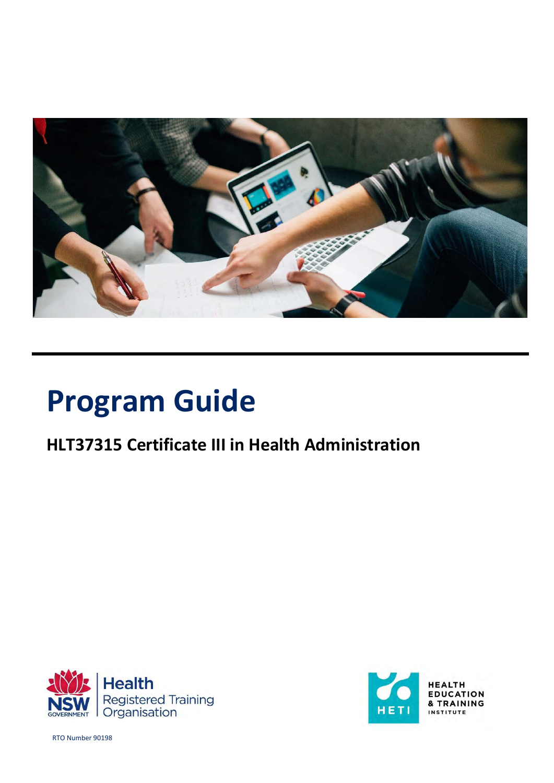

# **Program Guide**

# **HLT37315 Certificate III in Health Administration**





RTO Number 90198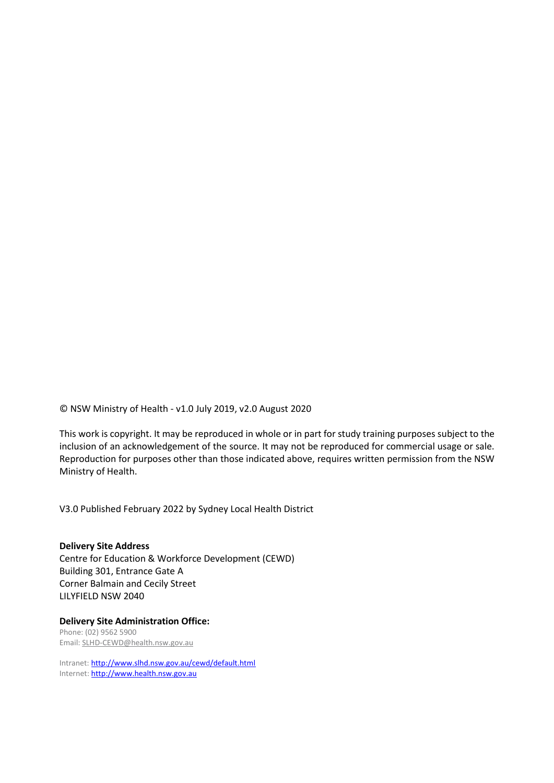© NSW Ministry of Health - v1.0 July 2019, v2.0 August 2020

This work is copyright. It may be reproduced in whole or in part for study training purposes subject to the inclusion of an acknowledgement of the source. It may not be reproduced for commercial usage or sale. Reproduction for purposes other than those indicated above, requires written permission from the NSW Ministry of Health.

V3.0 Published February 2022 by Sydney Local Health District

**Delivery Site Address** Centre for Education & Workforce Development (CEWD) Building 301, Entrance Gate A Corner Balmain and Cecily Street LILYFIELD NSW 2040

**Delivery Site Administration Office:** Phone: (02) 9562 5900 Email: SLHD-CEWD@health.nsw.gov.au

Intranet:<http://www.slhd.nsw.gov.au/cewd/default.html> Internet[: http://www.health.nsw.gov.au](http://www.health.nsw.gov.au/)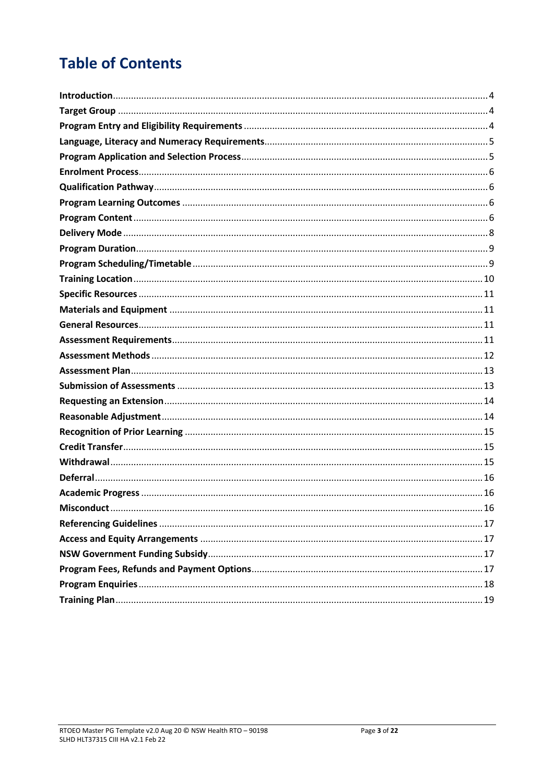# **Table of Contents**

| 16 |
|----|
|    |
|    |
|    |
|    |
|    |
|    |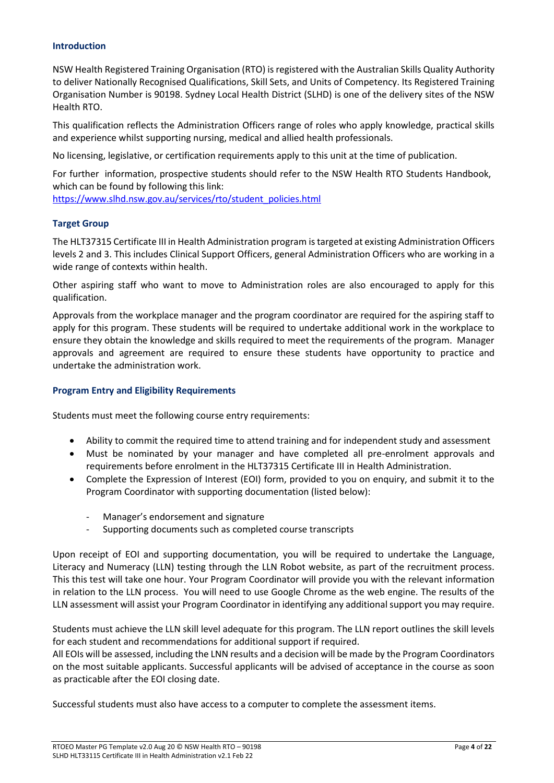#### <span id="page-3-0"></span>**Introduction**

NSW Health Registered Training Organisation (RTO) is registered with the Australian Skills Quality Authority to deliver Nationally Recognised Qualifications, Skill Sets, and Units of Competency. Its Registered Training Organisation Number is 90198. Sydney Local Health District (SLHD) is one of the delivery sites of the NSW Health RTO.

This qualification reflects the Administration Officers range of roles who apply knowledge, practical skills and experience whilst supporting nursing, medical and allied health professionals.

No licensing, legislative, or certification requirements apply to this unit at the time of publication.

For further information, prospective students should refer to the NSW Health RTO Students Handbook, which can be found by following this link:

[https://www.slhd.nsw.gov.au/services/rto/student\\_policies.html](https://www.slhd.nsw.gov.au/services/rto/students_policies.html)

# <span id="page-3-1"></span>**Target Group**

The HLT37315 Certificate III in Health Administration program is targeted at existing Administration Officers levels 2 and 3. This includes Clinical Support Officers, general Administration Officers who are working in a wide range of contexts within health.

Other aspiring staff who want to move to Administration roles are also encouraged to apply for this qualification.

Approvals from the workplace manager and the program coordinator are required for the aspiring staff to apply for this program. These students will be required to undertake additional work in the workplace to ensure they obtain the knowledge and skills required to meet the requirements of the program. Manager approvals and agreement are required to ensure these students have opportunity to practice and undertake the administration work.

#### <span id="page-3-2"></span>**Program Entry and Eligibility Requirements**

Students must meet the following course entry requirements:

- Ability to commit the required time to attend training and for independent study and assessment
- Must be nominated by your manager and have completed all pre-enrolment approvals and requirements before enrolment in the HLT37315 Certificate III in Health Administration.
- Complete the Expression of Interest (EOI) form, provided to you on enquiry, and submit it to the Program Coordinator with supporting documentation (listed below):
	- Manager's endorsement and signature
	- Supporting documents such as completed course transcripts

Upon receipt of EOI and supporting documentation, you will be required to undertake the Language, Literacy and Numeracy (LLN) testing through the LLN Robot website, as part of the recruitment process. This this test will take one hour. Your Program Coordinator will provide you with the relevant information in relation to the LLN process. You will need to use Google Chrome as the web engine. The results of the LLN assessment will assist your Program Coordinator in identifying any additional support you may require.

Students must achieve the LLN skill level adequate for this program. The LLN report outlines the skill levels for each student and recommendations for additional support if required.

All EOIs will be assessed, including the LNN results and a decision will be made by the Program Coordinators on the most suitable applicants. Successful applicants will be advised of acceptance in the course as soon as practicable after the EOI closing date.

Successful students must also have access to a computer to complete the assessment items.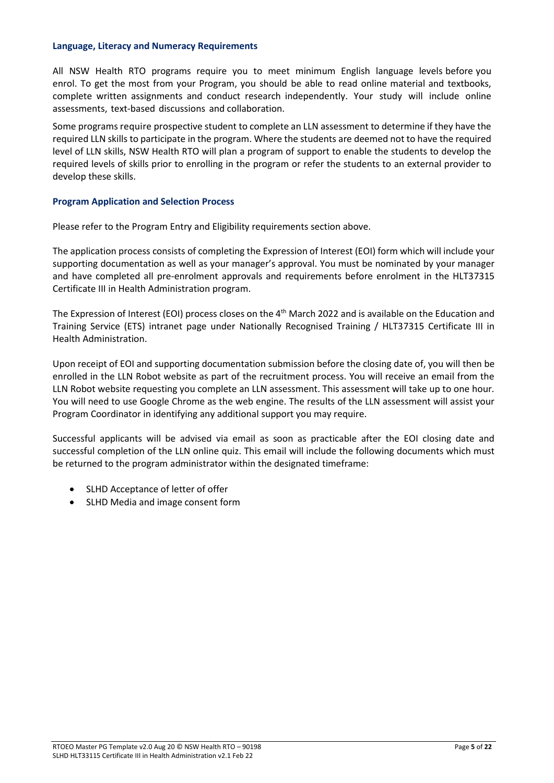#### <span id="page-4-0"></span>**Language, Literacy and Numeracy Requirements**

All NSW Health RTO programs require you to meet minimum English language levels before you enrol. To get the most from your Program, you should be able to read online material and textbooks, complete written assignments and conduct research independently. Your study will include online assessments, text-based discussions and collaboration.

Some programs require prospective student to complete an LLN assessment to determine if they have the required LLN skills to participate in the program. Where the students are deemed not to have the required level of LLN skills, NSW Health RTO will plan a program of support to enable the students to develop the required levels of skills prior to enrolling in the program or refer the students to an external provider to develop these skills.

#### <span id="page-4-1"></span>**Program Application and Selection Process**

Please refer to the Program Entry and Eligibility requirements section above.

The application process consists of completing the Expression of Interest (EOI) form which will include your supporting documentation as well as your manager's approval. You must be nominated by your manager and have completed all pre-enrolment approvals and requirements before enrolment in the HLT37315 Certificate III in Health Administration program.

The Expression of Interest (EOI) process closes on the 4<sup>th</sup> March 2022 and is available on the Education and Training Service (ETS) intranet page under Nationally Recognised Training / HLT37315 Certificate III in Health Administration.

Upon receipt of EOI and supporting documentation submission before the closing date of, you will then be enrolled in the LLN Robot website as part of the recruitment process. You will receive an email from the LLN Robot website requesting you complete an LLN assessment. This assessment will take up to one hour. You will need to use Google Chrome as the web engine. The results of the LLN assessment will assist your Program Coordinator in identifying any additional support you may require.

Successful applicants will be advised via email as soon as practicable after the EOI closing date and successful completion of the LLN online quiz. This email will include the following documents which must be returned to the program administrator within the designated timeframe:

- SLHD Acceptance of letter of offer
- SLHD Media and image consent form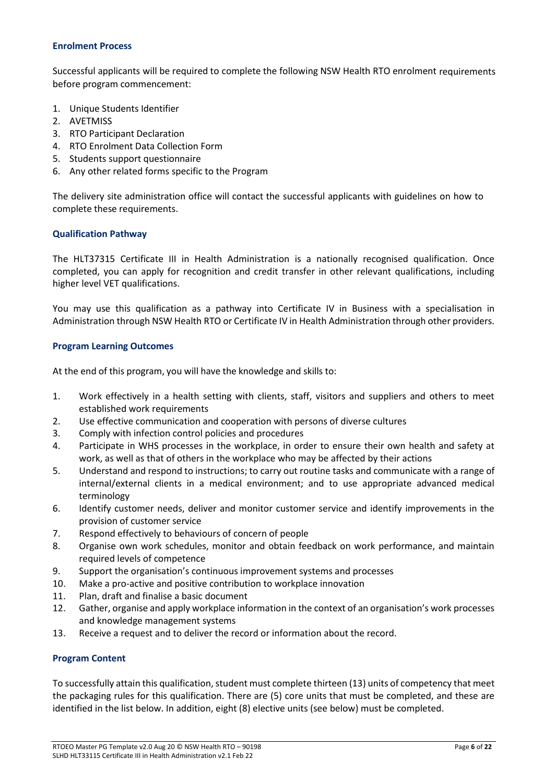# <span id="page-5-0"></span>**Enrolment Process**

Successful applicants will be required to complete the following NSW Health RTO enrolment requirements before program commencement:

- 1. Unique Students Identifier
- 2. AVETMISS
- 3. RTO Participant Declaration
- 4. RTO Enrolment Data Collection Form
- 5. Students support questionnaire
- 6. Any other related forms specific to the Program

The delivery site administration office will contact the successful applicants with guidelines on how to complete these requirements.

# <span id="page-5-1"></span>**Qualification Pathway**

The HLT37315 Certificate III in Health Administration is a nationally recognised qualification. Once completed, you can apply for recognition and credit transfer in other relevant qualifications, including higher level VET qualifications.

You may use this qualification as a pathway into Certificate IV in Business with a specialisation in Administration through NSW Health RTO or Certificate IV in Health Administration through other providers.

#### <span id="page-5-2"></span>**Program Learning Outcomes**

At the end of this program, you will have the knowledge and skills to:

- 1. Work effectively in a health setting with clients, staff, visitors and suppliers and others to meet established work requirements
- 2. Use effective communication and cooperation with persons of diverse cultures
- 3. Comply with infection control policies and procedures
- 4. Participate in WHS processes in the workplace, in order to ensure their own health and safety at work, as well as that of others in the workplace who may be affected by their actions
- 5. Understand and respond to instructions; to carry out routine tasks and communicate with a range of internal/external clients in a medical environment; and to use appropriate advanced medical terminology
- 6. Identify customer needs, deliver and monitor customer service and identify improvements in the provision of customer service
- 7. Respond effectively to behaviours of concern of people
- 8. Organise own work schedules, monitor and obtain feedback on work performance, and maintain required levels of competence
- 9. Support the organisation's continuous improvement systems and processes
- 10. Make a pro-active and positive contribution to workplace innovation
- 11. Plan, draft and finalise a basic document
- 12. Gather, organise and apply workplace information in the context of an organisation's work processes and knowledge management systems
- 13. Receive a request and to deliver the record or information about the record.

# <span id="page-5-3"></span>**Program Content**

To successfully attain this qualification, student must complete thirteen (13) units of competency that meet the packaging rules for this qualification. There are (5) core units that must be completed, and these are identified in the list below. In addition, eight (8) elective units (see below) must be completed.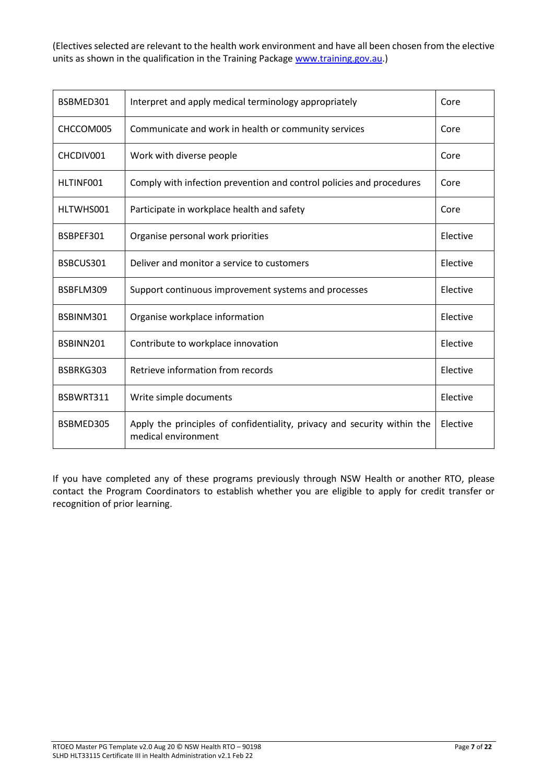(Electives selected are relevant to the health work environment and have all been chosen from the elective units as shown in the qualification in the Training Package [www.training.gov.au.](http://www.training.gov.au/))

| BSBMED301 | Interpret and apply medical terminology appropriately                                           | Core     |
|-----------|-------------------------------------------------------------------------------------------------|----------|
| CHCCOM005 | Communicate and work in health or community services                                            | Core     |
| CHCDIV001 | Work with diverse people                                                                        | Core     |
| HLTINF001 | Comply with infection prevention and control policies and procedures                            | Core     |
| HLTWHS001 | Participate in workplace health and safety                                                      | Core     |
| BSBPEF301 | Organise personal work priorities                                                               | Elective |
| BSBCUS301 | Deliver and monitor a service to customers                                                      | Elective |
| BSBFLM309 | Support continuous improvement systems and processes                                            | Elective |
| BSBINM301 | Organise workplace information                                                                  | Elective |
| BSBINN201 | Contribute to workplace innovation                                                              | Elective |
| BSBRKG303 | Retrieve information from records                                                               | Elective |
| BSBWRT311 | Write simple documents                                                                          | Elective |
| BSBMED305 | Apply the principles of confidentiality, privacy and security within the<br>medical environment | Elective |

If you have completed any of these programs previously through NSW Health or another RTO, please contact the Program Coordinators to establish whether you are eligible to apply for credit transfer or recognition of prior learning.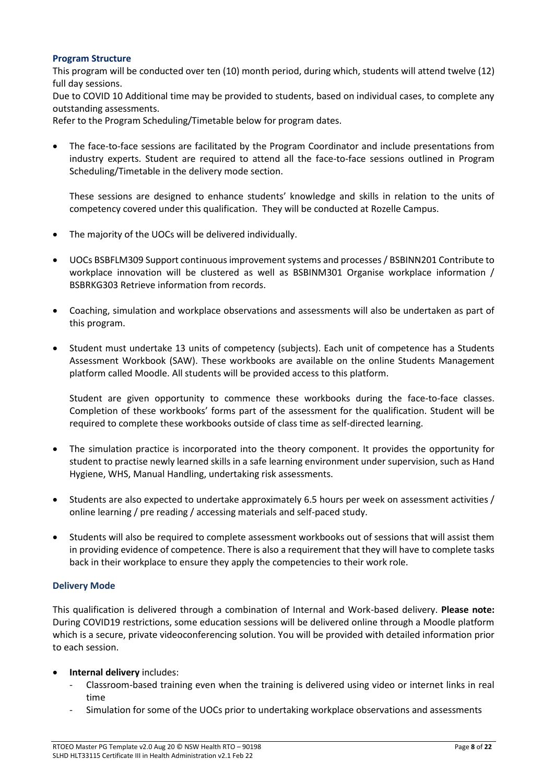# **Program Structure**

This program will be conducted over ten (10) month period, during which, students will attend twelve (12) full day sessions.

Due to COVID 10 Additional time may be provided to students, based on individual cases, to complete any outstanding assessments.

Refer to the Program Scheduling/Timetable below for program dates.

• The face-to-face sessions are facilitated by the Program Coordinator and include presentations from industry experts. Student are required to attend all the face-to-face sessions outlined in Program Scheduling/Timetable in the delivery mode section.

These sessions are designed to enhance students' knowledge and skills in relation to the units of competency covered under this qualification. They will be conducted at Rozelle Campus.

- The majority of the UOCs will be delivered individually.
- UOCs BSBFLM309 Support continuous improvement systems and processes / BSBINN201 Contribute to workplace innovation will be clustered as well as BSBINM301 Organise workplace information / BSBRKG303 Retrieve information from records.
- Coaching, simulation and workplace observations and assessments will also be undertaken as part of this program.
- Student must undertake 13 units of competency (subjects). Each unit of competence has a Students Assessment Workbook (SAW). These workbooks are available on the online Students Management platform called Moodle. All students will be provided access to this platform.

Student are given opportunity to commence these workbooks during the face-to-face classes. Completion of these workbooks' forms part of the assessment for the qualification. Student will be required to complete these workbooks outside of class time as self-directed learning.

- The simulation practice is incorporated into the theory component. It provides the opportunity for student to practise newly learned skills in a safe learning environment under supervision, such as Hand Hygiene, WHS, Manual Handling, undertaking risk assessments.
- Students are also expected to undertake approximately 6.5 hours per week on assessment activities / online learning / pre reading / accessing materials and self-paced study.
- Students will also be required to complete assessment workbooks out of sessions that will assist them in providing evidence of competence. There is also a requirement that they will have to complete tasks back in their workplace to ensure they apply the competencies to their work role.

# <span id="page-7-0"></span>**Delivery Mode**

This qualification is delivered through a combination of Internal and Work-based delivery. **Please note:** During COVID19 restrictions, some education sessions will be delivered online through a Moodle platform which is a secure, private videoconferencing solution. You will be provided with detailed information prior to each session.

- **Internal delivery** includes:
	- Classroom-based training even when the training is delivered using video or internet links in real time
	- Simulation for some of the UOCs prior to undertaking workplace observations and assessments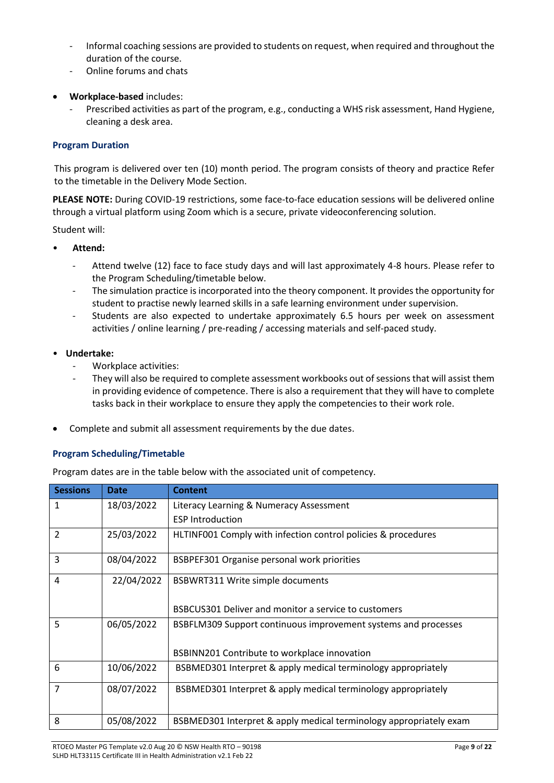- Informal coaching sessions are provided to students on request, when required and throughout the duration of the course.
- Online forums and chats
- **Workplace-based** includes:
	- Prescribed activities as part of the program, e.g., conducting a WHS risk assessment, Hand Hygiene, cleaning a desk area.

# <span id="page-8-0"></span>**Program Duration**

This program is delivered over ten (10) month period. The program consists of theory and practice Refer to the timetable in the Delivery Mode Section.

**PLEASE NOTE:** During COVID-19 restrictions, some face-to-face education sessions will be delivered online through a virtual platform using Zoom which is a secure, private videoconferencing solution.

Student will:

- **Attend:**
	- Attend twelve (12) face to face study days and will last approximately 4-8 hours. Please refer to the Program Scheduling/timetable below.
	- The simulation practice is incorporated into the theory component. It provides the opportunity for student to practise newly learned skills in a safe learning environment under supervision.
	- Students are also expected to undertake approximately 6.5 hours per week on assessment activities / online learning / pre-reading / accessing materials and self-paced study.
- **Undertake:** 
	- Workplace activities:
	- They will also be required to complete assessment workbooks out of sessions that will assist them in providing evidence of competence. There is also a requirement that they will have to complete tasks back in their workplace to ensure they apply the competencies to their work role.
- Complete and submit all assessment requirements by the due dates.

# <span id="page-8-1"></span>**Program Scheduling/Timetable**

Program dates are in the table below with the associated unit of competency.

| <b>Sessions</b> | Date       | <b>Content</b>                                                                                                 |
|-----------------|------------|----------------------------------------------------------------------------------------------------------------|
| $\mathbf{1}$    | 18/03/2022 | Literacy Learning & Numeracy Assessment                                                                        |
|                 |            | <b>ESP Introduction</b>                                                                                        |
| 2               | 25/03/2022 | HLTINF001 Comply with infection control policies & procedures                                                  |
| 3               | 08/04/2022 | BSBPEF301 Organise personal work priorities                                                                    |
| 4               | 22/04/2022 | <b>BSBWRT311 Write simple documents</b><br>BSBCUS301 Deliver and monitor a service to customers                |
|                 |            |                                                                                                                |
| 5               | 06/05/2022 | BSBFLM309 Support continuous improvement systems and processes<br>BSBINN201 Contribute to workplace innovation |
| 6               | 10/06/2022 | BSBMED301 Interpret & apply medical terminology appropriately                                                  |
| $\overline{7}$  | 08/07/2022 | BSBMED301 Interpret & apply medical terminology appropriately                                                  |
| 8               | 05/08/2022 | BSBMED301 Interpret & apply medical terminology appropriately exam                                             |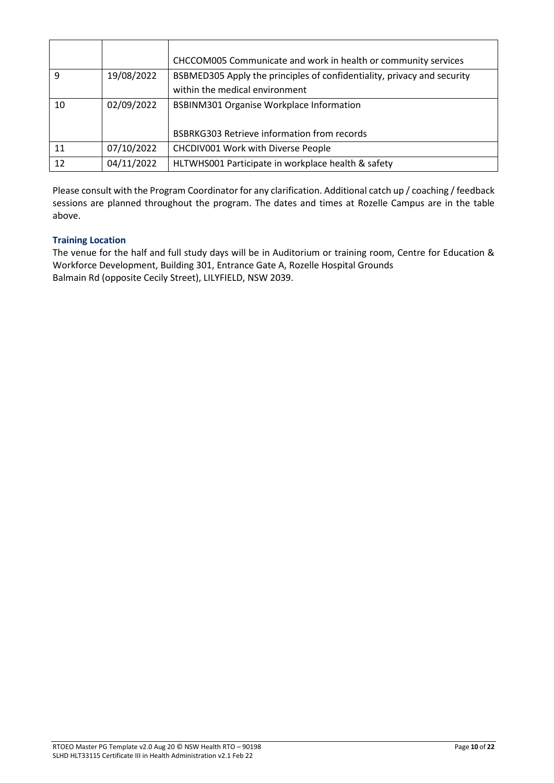|    |            | CHCCOM005 Communicate and work in health or community services          |
|----|------------|-------------------------------------------------------------------------|
| q  | 19/08/2022 | BSBMED305 Apply the principles of confidentiality, privacy and security |
|    |            | within the medical environment                                          |
| 10 | 02/09/2022 | <b>BSBINM301 Organise Workplace Information</b>                         |
|    |            |                                                                         |
|    |            | <b>BSBRKG303 Retrieve information from records</b>                      |
| 11 | 07/10/2022 | CHCDIV001 Work with Diverse People                                      |
| 12 | 04/11/2022 | HLTWHS001 Participate in workplace health & safety                      |

Please consult with the Program Coordinator for any clarification. Additional catch up / coaching / feedback sessions are planned throughout the program. The dates and times at Rozelle Campus are in the table above.

# <span id="page-9-0"></span>**Training Location**

The venue for the half and full study days will be in Auditorium or training room, Centre for Education & Workforce Development, Building 301, Entrance Gate A, Rozelle Hospital Grounds Balmain Rd (opposite Cecily Street), LILYFIELD, NSW 2039.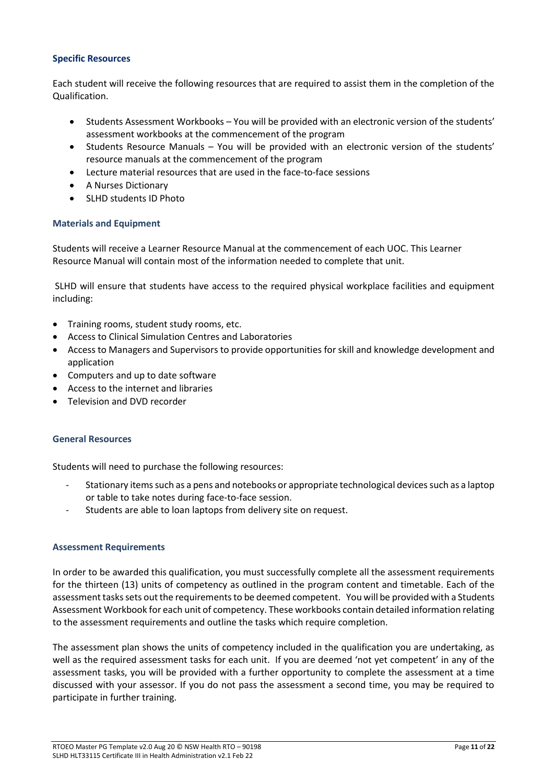# <span id="page-10-0"></span>**Specific Resources**

Each student will receive the following resources that are required to assist them in the completion of the Qualification.

- Students Assessment Workbooks You will be provided with an electronic version of the students' assessment workbooks at the commencement of the program
- Students Resource Manuals You will be provided with an electronic version of the students' resource manuals at the commencement of the program
- Lecture material resources that are used in the face-to-face sessions
- A Nurses Dictionary
- SLHD students ID Photo

# <span id="page-10-1"></span>**Materials and Equipment**

Students will receive a Learner Resource Manual at the commencement of each UOC. This Learner Resource Manual will contain most of the information needed to complete that unit.

SLHD will ensure that students have access to the required physical workplace facilities and equipment including:

- Training rooms, student study rooms, etc.
- Access to Clinical Simulation Centres and Laboratories
- Access to Managers and Supervisors to provide opportunities for skill and knowledge development and application
- Computers and up to date software
- Access to the internet and libraries
- Television and DVD recorder

# <span id="page-10-2"></span>**General Resources**

Students will need to purchase the following resources:

- Stationary items such as a pens and notebooks or appropriate technological devices such as a laptop or table to take notes during face-to-face session.
- Students are able to loan laptops from delivery site on request.

# <span id="page-10-3"></span>**Assessment Requirements**

In order to be awarded this qualification, you must successfully complete all the assessment requirements for the thirteen (13) units of competency as outlined in the program content and timetable. Each of the assessment tasks sets out the requirements to be deemed competent. You will be provided with a Students Assessment Workbook for each unit of competency. These workbooks contain detailed information relating to the assessment requirements and outline the tasks which require completion.

The assessment plan shows the units of competency included in the qualification you are undertaking, as well as the required assessment tasks for each unit. If you are deemed 'not yet competent' in any of the assessment tasks, you will be provided with a further opportunity to complete the assessment at a time discussed with your assessor. If you do not pass the assessment a second time, you may be required to participate in further training.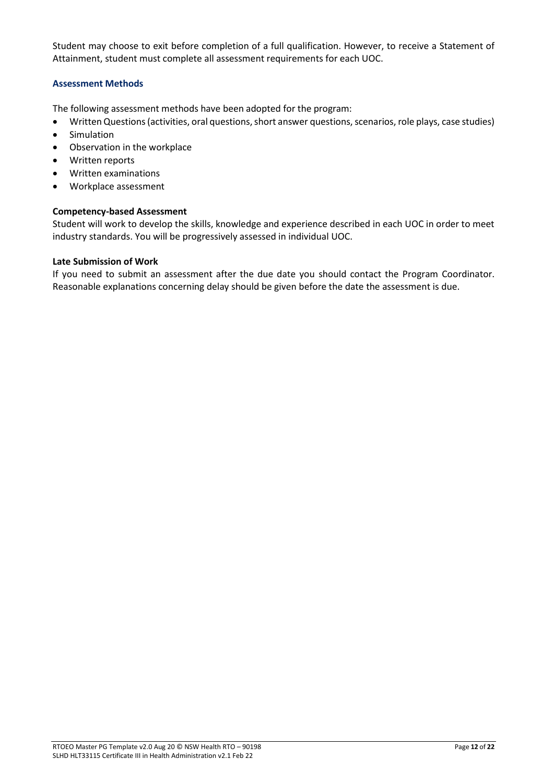Student may choose to exit before completion of a full qualification. However, to receive a Statement of Attainment, student must complete all assessment requirements for each UOC.

# <span id="page-11-0"></span>**Assessment Methods**

The following assessment methods have been adopted for the program:

- Written Questions (activities, oral questions, short answer questions, scenarios, role plays, case studies)
- **Simulation**
- Observation in the workplace
- Written reports
- Written examinations
- Workplace assessment

# **Competency-based Assessment**

Student will work to develop the skills, knowledge and experience described in each UOC in order to meet industry standards. You will be progressively assessed in individual UOC.

# **Late Submission of Work**

If you need to submit an assessment after the due date you should contact the Program Coordinator. Reasonable explanations concerning delay should be given before the date the assessment is due.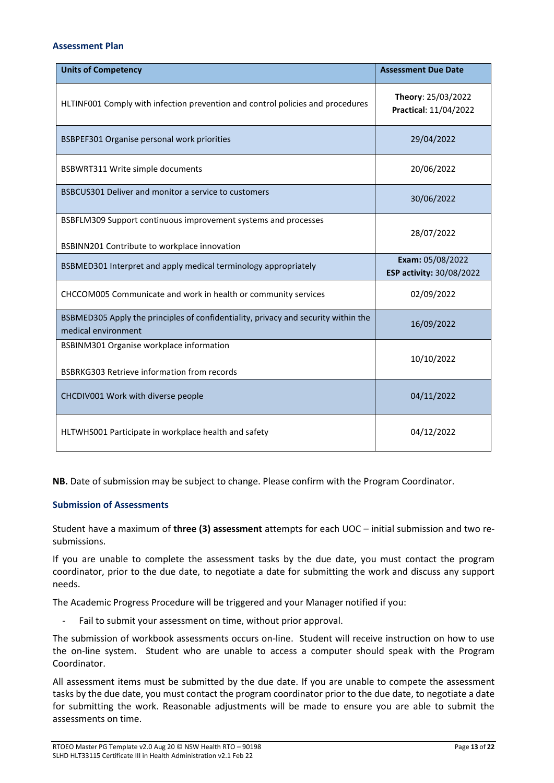#### <span id="page-12-0"></span>**Assessment Plan**

| <b>Units of Competency</b>                                                                                     | <b>Assessment Due Date</b>                   |
|----------------------------------------------------------------------------------------------------------------|----------------------------------------------|
| HLTINF001 Comply with infection prevention and control policies and procedures                                 | Theory: 25/03/2022<br>Practical: 11/04/2022  |
| BSBPEF301 Organise personal work priorities                                                                    | 29/04/2022                                   |
| BSBWRT311 Write simple documents                                                                               | 20/06/2022                                   |
| BSBCUS301 Deliver and monitor a service to customers                                                           | 30/06/2022                                   |
| BSBFLM309 Support continuous improvement systems and processes<br>BSBINN201 Contribute to workplace innovation | 28/07/2022                                   |
| BSBMED301 Interpret and apply medical terminology appropriately                                                | Exam: 05/08/2022<br>ESP activity: 30/08/2022 |
| CHCCOM005 Communicate and work in health or community services                                                 | 02/09/2022                                   |
| BSBMED305 Apply the principles of confidentiality, privacy and security within the<br>medical environment      | 16/09/2022                                   |
| BSBINM301 Organise workplace information<br>BSBRKG303 Retrieve information from records                        | 10/10/2022                                   |
| CHCDIV001 Work with diverse people                                                                             | 04/11/2022                                   |
| HLTWHS001 Participate in workplace health and safety                                                           | 04/12/2022                                   |

**NB.** Date of submission may be subject to change. Please confirm with the Program Coordinator.

# <span id="page-12-1"></span>**Submission of Assessments**

Student have a maximum of **three (3) assessment** attempts for each UOC – initial submission and two resubmissions.

If you are unable to complete the assessment tasks by the due date, you must contact the program coordinator, prior to the due date, to negotiate a date for submitting the work and discuss any support needs.

The Academic Progress Procedure will be triggered and your Manager notified if you:

Fail to submit your assessment on time, without prior approval.

The submission of workbook assessments occurs on-line. Student will receive instruction on how to use the on-line system. Student who are unable to access a computer should speak with the Program Coordinator.

All assessment items must be submitted by the due date. If you are unable to compete the assessment tasks by the due date, you must contact the program coordinator prior to the due date, to negotiate a date for submitting the work. Reasonable adjustments will be made to ensure you are able to submit the assessments on time.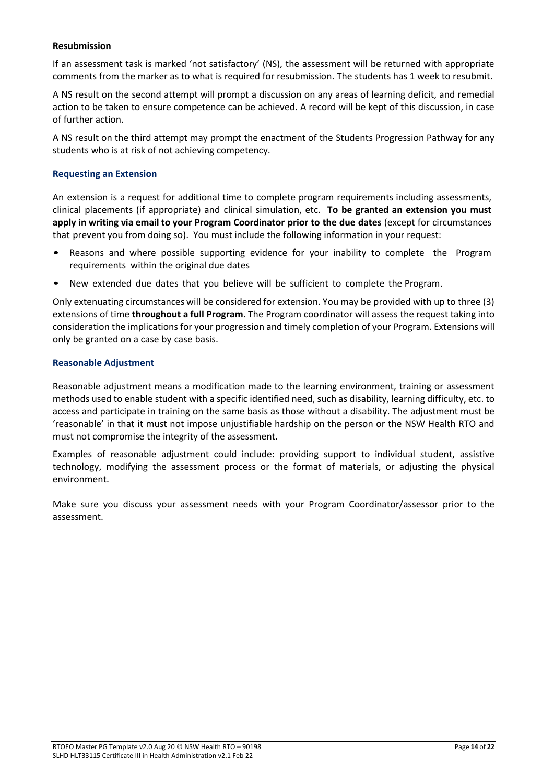# **Resubmission**

If an assessment task is marked 'not satisfactory' (NS), the assessment will be returned with appropriate comments from the marker as to what is required for resubmission. The students has 1 week to resubmit.

A NS result on the second attempt will prompt a discussion on any areas of learning deficit, and remedial action to be taken to ensure competence can be achieved. A record will be kept of this discussion, in case of further action.

A NS result on the third attempt may prompt the enactment of the Students Progression Pathway for any students who is at risk of not achieving competency.

#### <span id="page-13-0"></span>**Requesting an Extension**

An extension is a request for additional time to complete program requirements including assessments, clinical placements (if appropriate) and clinical simulation, etc. **To be granted an extension you must apply in writing via email to your Program Coordinator prior to the due dates** (except for circumstances that prevent you from doing so). You must include the following information in your request:

- Reasons and where possible supporting evidence for your inability to complete the Program requirements within the original due dates
- New extended due dates that you believe will be sufficient to complete the Program.

Only extenuating circumstances will be considered for extension. You may be provided with up to three (3) extensions of time **throughout a full Program**. The Program coordinator will assess the request taking into consideration the implications for your progression and timely completion of your Program. Extensions will only be granted on a case by case basis.

#### <span id="page-13-1"></span>**Reasonable Adjustment**

Reasonable adjustment means a modification made to the learning environment, training or assessment methods used to enable student with a specific identified need, such as disability, learning difficulty, etc. to access and participate in training on the same basis as those without a disability. The adjustment must be 'reasonable' in that it must not impose unjustifiable hardship on the person or the NSW Health RTO and must not compromise the integrity of the assessment.

Examples of reasonable adjustment could include: providing support to individual student, assistive technology, modifying the assessment process or the format of materials, or adjusting the physical environment.

Make sure you discuss your assessment needs with your Program Coordinator/assessor prior to the assessment.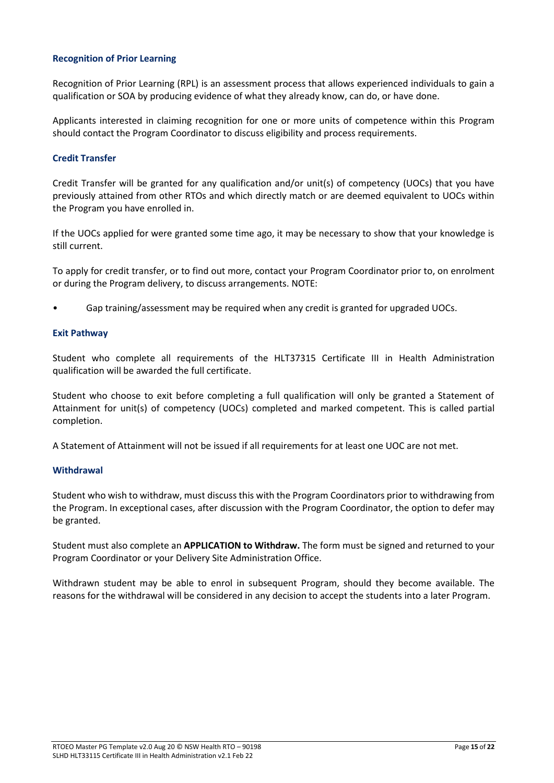# <span id="page-14-0"></span>**Recognition of Prior Learning**

Recognition of Prior Learning (RPL) is an assessment process that allows experienced individuals to gain a qualification or SOA by producing evidence of what they already know, can do, or have done.

Applicants interested in claiming recognition for one or more units of competence within this Program should contact the Program Coordinator to discuss eligibility and process requirements.

# <span id="page-14-1"></span>**Credit Transfer**

Credit Transfer will be granted for any qualification and/or unit(s) of competency (UOCs) that you have previously attained from other RTOs and which directly match or are deemed equivalent to UOCs within the Program you have enrolled in.

If the UOCs applied for were granted some time ago, it may be necessary to show that your knowledge is still current.

To apply for credit transfer, or to find out more, contact your Program Coordinator prior to, on enrolment or during the Program delivery, to discuss arrangements. NOTE:

• Gap training/assessment may be required when any credit is granted for upgraded UOCs.

# **Exit Pathway**

Student who complete all requirements of the HLT37315 Certificate III in Health Administration qualification will be awarded the full certificate.

Student who choose to exit before completing a full qualification will only be granted a Statement of Attainment for unit(s) of competency (UOCs) completed and marked competent. This is called partial completion.

A Statement of Attainment will not be issued if all requirements for at least one UOC are not met.

# <span id="page-14-2"></span>**Withdrawal**

Student who wish to withdraw, must discuss this with the Program Coordinators prior to withdrawing from the Program. In exceptional cases, after discussion with the Program Coordinator, the option to defer may be granted.

Student must also complete an **APPLICATION to Withdraw.** The form must be signed and returned to your Program Coordinator or your Delivery Site Administration Office.

Withdrawn student may be able to enrol in subsequent Program, should they become available. The reasons for the withdrawal will be considered in any decision to accept the students into a later Program.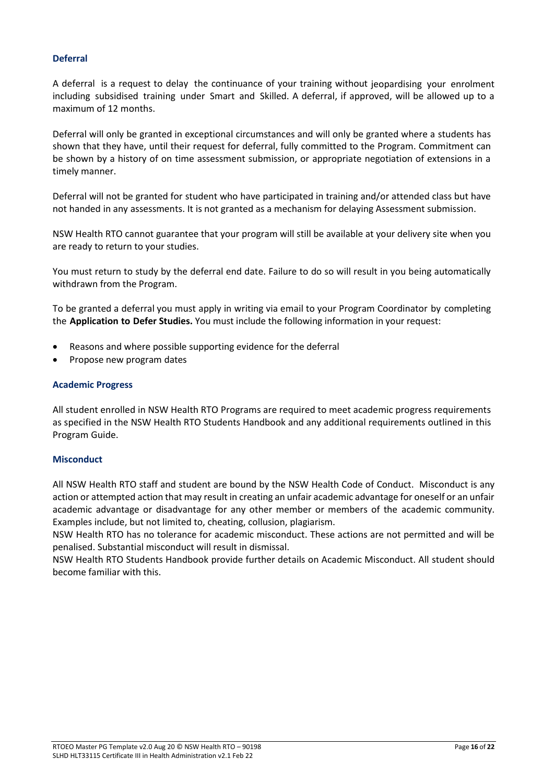# <span id="page-15-0"></span>**Deferral**

A deferral is a request to delay the continuance of your training without jeopardising your enrolment including subsidised training under Smart and Skilled. A deferral, if approved, will be allowed up to a maximum of 12 months.

Deferral will only be granted in exceptional circumstances and will only be granted where a students has shown that they have, until their request for deferral, fully committed to the Program. Commitment can be shown by a history of on time assessment submission, or appropriate negotiation of extensions in a timely manner.

Deferral will not be granted for student who have participated in training and/or attended class but have not handed in any assessments. It is not granted as a mechanism for delaying Assessment submission.

NSW Health RTO cannot guarantee that your program will still be available at your delivery site when you are ready to return to your studies.

You must return to study by the deferral end date. Failure to do so will result in you being automatically withdrawn from the Program.

To be granted a deferral you must apply in writing via email to your Program Coordinator by completing the **Application to Defer Studies.** You must include the following information in your request:

- Reasons and where possible supporting evidence for the deferral
- Propose new program dates

# <span id="page-15-1"></span>**Academic Progress**

All student enrolled in NSW Health RTO Programs are required to meet academic progress requirements as specified in the NSW Health RTO Students Handbook and any additional requirements outlined in this Program Guide.

# <span id="page-15-2"></span>**Misconduct**

All NSW Health RTO staff and student are bound by the NSW Health Code of Conduct. Misconduct is any action or attempted action that may result in creating an unfair academic advantage for oneself or an unfair academic advantage or disadvantage for any other member or members of the academic community. Examples include, but not limited to, cheating, collusion, plagiarism.

NSW Health RTO has no tolerance for academic misconduct. These actions are not permitted and will be penalised. Substantial misconduct will result in dismissal.

NSW Health RTO Students Handbook provide further details on Academic Misconduct. All student should become familiar with this.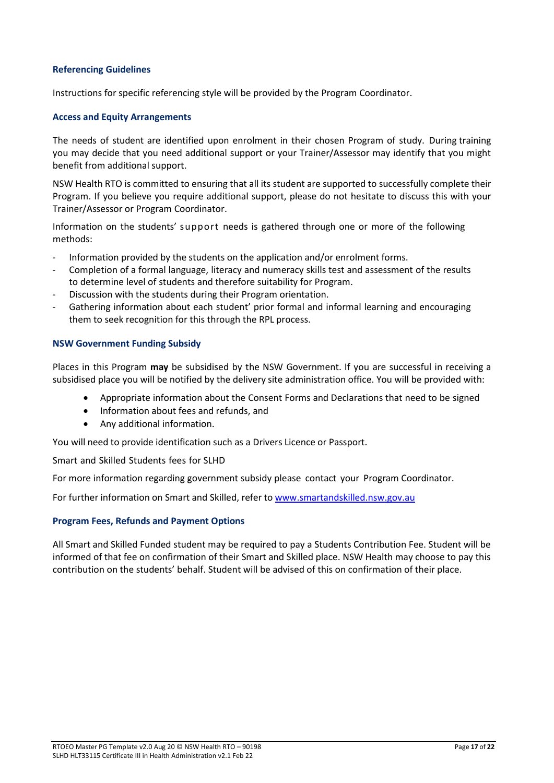# <span id="page-16-0"></span>**Referencing Guidelines**

<span id="page-16-1"></span>Instructions for specific referencing style will be provided by the Program Coordinator.

# **Access and Equity Arrangements**

The needs of student are identified upon enrolment in their chosen Program of study. During training you may decide that you need additional support or your Trainer/Assessor may identify that you might benefit from additional support.

NSW Health RTO is committed to ensuring that all its student are supported to successfully complete their Program. If you believe you require additional support, please do not hesitate to discuss this with your Trainer/Assessor or Program Coordinator.

Information on the students' support needs is gathered through one or more of the following methods:

- Information provided by the students on the application and/or enrolment forms.
- Completion of a formal language, literacy and numeracy skills test and assessment of the results to determine level of students and therefore suitability for Program.
- Discussion with the students during their Program orientation.
- Gathering information about each student' prior formal and informal learning and encouraging them to seek recognition for this through the RPL process.

# <span id="page-16-2"></span>**NSW Government Funding Subsidy**

Places in this Program **may** be subsidised by the NSW Government. If you are successful in receiving a subsidised place you will be notified by the delivery site administration office. You will be provided with:

- Appropriate information about the Consent Forms and Declarations that need to be signed
- Information about fees and refunds, and
- Any additional information.

You will need to provide identification such as a Drivers Licence or Passport.

Smart and Skilled Students fees for SLHD

For more information regarding government subsidy please contact your Program Coordinator.

For further information on Smart and Skilled, refer to [www.smartandskilled.nsw.gov.au](http://www.smartandskilled.nsw.gov.au/)

# <span id="page-16-3"></span>**Program Fees, Refunds and Payment Options**

All Smart and Skilled Funded student may be required to pay a Students Contribution Fee. Student will be informed of that fee on confirmation of their Smart and Skilled place. NSW Health may choose to pay this contribution on the students' behalf. Student will be advised of this on confirmation of their place.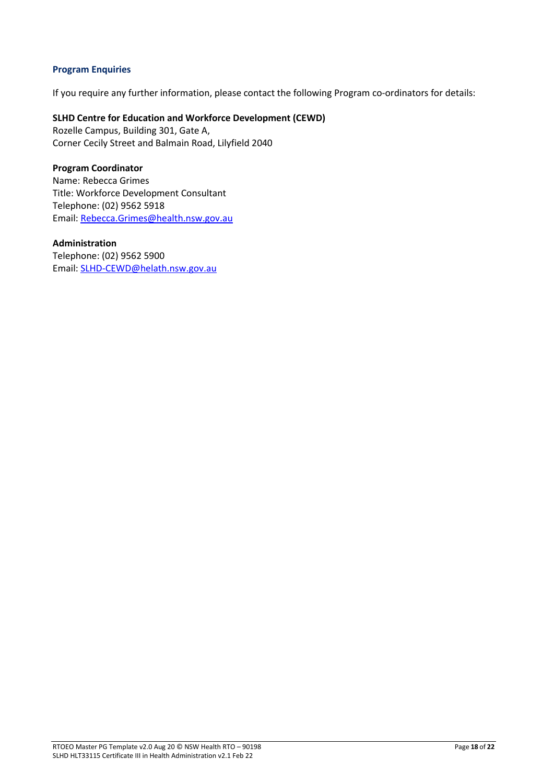# <span id="page-17-0"></span>**Program Enquiries**

If you require any further information, please contact the following Program co-ordinators for details:

# **SLHD Centre for Education and Workforce Development (CEWD)**

Rozelle Campus, Building 301, Gate A, Corner Cecily Street and Balmain Road, Lilyfield 2040

# **Program Coordinator**

Name: Rebecca Grimes Title: Workforce Development Consultant Telephone: (02) 9562 5918 Email[: Rebecca.Grimes@health.nsw.gov.au](mailto:Rebecca.Grimes@health.nsw.gov.au)

# **Administration**

Telephone: (02) 9562 5900 Email[: SLHD-CEWD@helath.nsw.gov.au](mailto:SLHD-CEWD@helath.nsw.gov.au)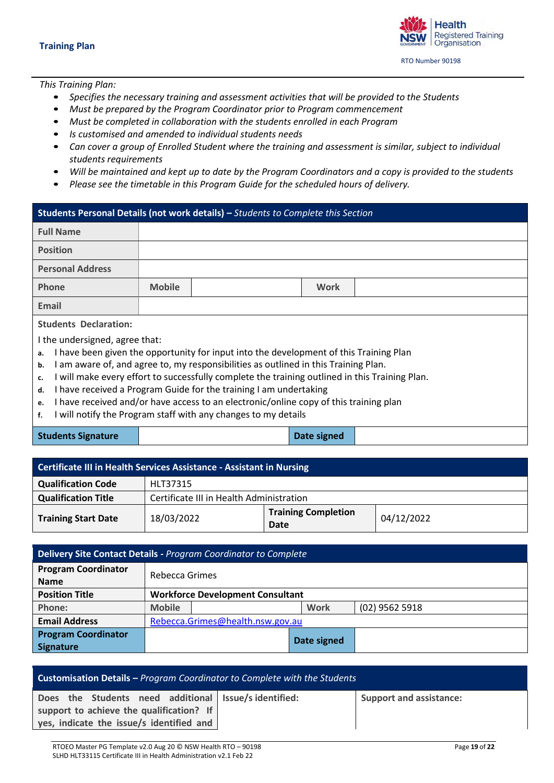**Health Registered Training** Organisation RTO Number 90198

<span id="page-18-0"></span>*This Training Plan:*

- *Specifies the necessary training and assessment activities that will be provided to the Students*
- *Must be prepared by the Program Coordinator prior to Program commencement*
- *Must be completed in collaboration with the students enrolled in each Program*
- *Is customised and amended to individual students needs*
- *Can cover a group of Enrolled Student where the training and assessment is similar, subject to individual students requirements*
- *Will be maintained and kept up to date by the Program Coordinators and a copy is provided to the students*
- *Please see the timetable in this Program Guide for the scheduled hours of delivery.*

# **Students Personal Details (not work details) –** *Students to Complete this Section*

| <b>Full Name</b>                                                                                                                                                                                                                                                                                                                                                                                             |                                                                                                                                                         |  |      |  |  |  |
|--------------------------------------------------------------------------------------------------------------------------------------------------------------------------------------------------------------------------------------------------------------------------------------------------------------------------------------------------------------------------------------------------------------|---------------------------------------------------------------------------------------------------------------------------------------------------------|--|------|--|--|--|
| <b>Position</b>                                                                                                                                                                                                                                                                                                                                                                                              |                                                                                                                                                         |  |      |  |  |  |
| <b>Personal Address</b>                                                                                                                                                                                                                                                                                                                                                                                      |                                                                                                                                                         |  |      |  |  |  |
| <b>Phone</b>                                                                                                                                                                                                                                                                                                                                                                                                 | <b>Mobile</b>                                                                                                                                           |  | Work |  |  |  |
| Email                                                                                                                                                                                                                                                                                                                                                                                                        |                                                                                                                                                         |  |      |  |  |  |
| <b>Students Declaration:</b>                                                                                                                                                                                                                                                                                                                                                                                 |                                                                                                                                                         |  |      |  |  |  |
| I the undersigned, agree that:<br>I have been given the opportunity for input into the development of this Training Plan<br>a.<br>I am aware of, and agree to, my responsibilities as outlined in this Training Plan.<br>b.<br>will make every effort to successfully complete the training outlined in this Training Plan.<br>c.<br>I have received a Program Guide for the training I am undertaking<br>d. |                                                                                                                                                         |  |      |  |  |  |
| e.<br>f.                                                                                                                                                                                                                                                                                                                                                                                                     | I have received and/or have access to an electronic/online copy of this training plan<br>I will notify the Program staff with any changes to my details |  |      |  |  |  |

|  | <b>Students Signature</b> |  |
|--|---------------------------|--|
|  |                           |  |

**Date signed** 

| <b>Certificate III in Health Services Assistance - Assistant in Nursing</b> |                                          |                                    |            |  |  |
|-----------------------------------------------------------------------------|------------------------------------------|------------------------------------|------------|--|--|
| <b>Qualification Code</b>                                                   | HLT37315                                 |                                    |            |  |  |
| <b>Qualification Title</b>                                                  | Certificate III in Health Administration |                                    |            |  |  |
| <b>Training Start Date</b>                                                  | 18/03/2022                               | <b>Training Completion</b><br>Date | 04/12/2022 |  |  |

| Delivery Site Contact Details - Program Coordinator to Complete |               |                                         |             |                |  |  |  |
|-----------------------------------------------------------------|---------------|-----------------------------------------|-------------|----------------|--|--|--|
| <b>Program Coordinator</b><br><b>Name</b>                       |               | Rebecca Grimes                          |             |                |  |  |  |
| <b>Position Title</b>                                           |               | <b>Workforce Development Consultant</b> |             |                |  |  |  |
| Phone:                                                          | <b>Mobile</b> |                                         | <b>Work</b> | (02) 9562 5918 |  |  |  |
| <b>Email Address</b>                                            |               | Rebecca.Grimes@health.nsw.gov.au        |             |                |  |  |  |
| <b>Program Coordinator</b><br><b>Signature</b>                  |               | Date signed                             |             |                |  |  |  |

| <b>Customisation Details - Program Coordinator to Complete with the Students</b> |  |                                |  |  |  |  |
|----------------------------------------------------------------------------------|--|--------------------------------|--|--|--|--|
| Does the Students need additional Issue/sidentified:                             |  | <b>Support and assistance:</b> |  |  |  |  |
| support to achieve the qualification? If                                         |  |                                |  |  |  |  |
| yes, indicate the issue/s identified and                                         |  |                                |  |  |  |  |
|                                                                                  |  |                                |  |  |  |  |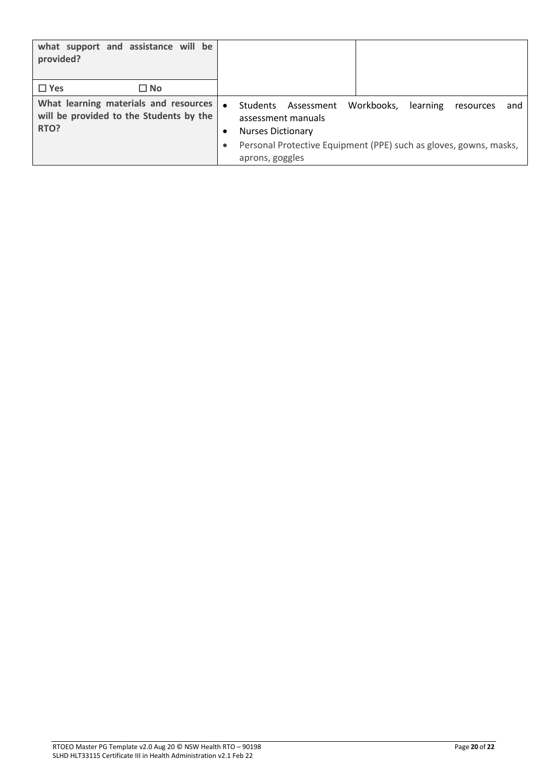| what support and assistance will be<br>provided?                                         |                                                                                                                                                                                                                       |
|------------------------------------------------------------------------------------------|-----------------------------------------------------------------------------------------------------------------------------------------------------------------------------------------------------------------------|
| $\Box$ Yes<br>$\square$ No                                                               |                                                                                                                                                                                                                       |
| What learning materials and resources<br>will be provided to the Students by the<br>RTO? | Workbooks.<br><b>Students</b><br>Assessment<br>learning<br>resources<br>and<br>assessment manuals<br><b>Nurses Dictionary</b><br>Personal Protective Equipment (PPE) such as gloves, gowns, masks,<br>aprons, goggles |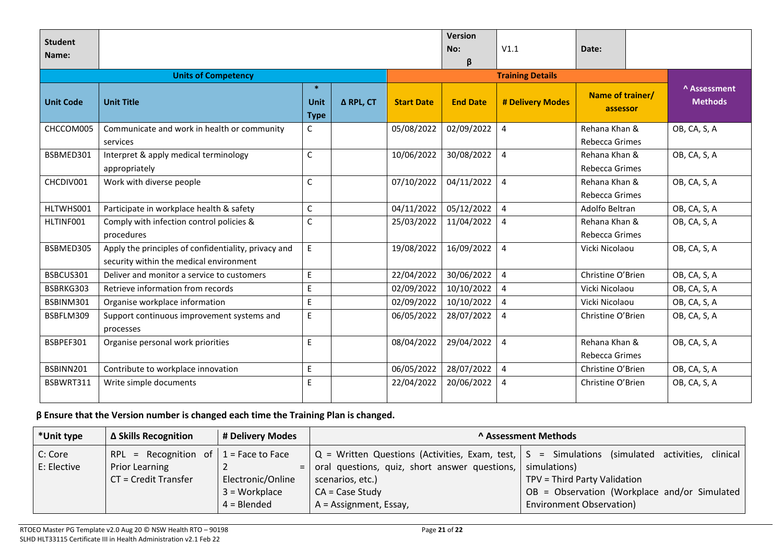| <b>Student</b><br>Name: |                                                                                                 |                                            |           |                   | <b>Version</b><br>No:<br>β | V1.1                    | Date:                           |  |                                |
|-------------------------|-------------------------------------------------------------------------------------------------|--------------------------------------------|-----------|-------------------|----------------------------|-------------------------|---------------------------------|--|--------------------------------|
|                         | <b>Units of Competency</b>                                                                      |                                            |           |                   |                            | <b>Training Details</b> |                                 |  |                                |
| <b>Unit Code</b>        | <b>Unit Title</b>                                                                               | -sk<br><b>Unit</b><br><b>Type</b>          | Δ RPL, CT | <b>Start Date</b> | <b>End Date</b>            | # Delivery Modes        | Name of trainer/<br>assessor    |  | A Assessment<br><b>Methods</b> |
| CHCCOM005               | Communicate and work in health or community<br>services                                         | $\mathsf{C}$                               |           | 05/08/2022        | 02/09/2022                 | $\overline{4}$          | Rehana Khan &<br>Rebecca Grimes |  | OB, CA, S, A                   |
| BSBMED301               | Interpret & apply medical terminology<br>appropriately                                          | $\mathsf C$                                |           | 10/06/2022        | 30/08/2022                 | $\overline{4}$          | Rehana Khan &<br>Rebecca Grimes |  | OB, CA, S, A                   |
| CHCDIV001               | Work with diverse people                                                                        | $\mathsf C$                                |           | 07/10/2022        | 04/11/2022                 | $\overline{4}$          | Rehana Khan &<br>Rebecca Grimes |  | OB, CA, S, A                   |
| HLTWHS001               | Participate in workplace health & safety                                                        | $\mathsf C$                                |           | 04/11/2022        | 05/12/2022                 | $\overline{4}$          | Adolfo Beltran                  |  | OB, CA, S, A                   |
| HLTINF001               | Comply with infection control policies &<br>procedures                                          | $\mathsf C$                                |           | 25/03/2022        | 11/04/2022                 | $\overline{4}$          | Rehana Khan &<br>Rebecca Grimes |  | OB, CA, S, A                   |
| BSBMED305               | Apply the principles of confidentiality, privacy and<br>security within the medical environment | E                                          |           | 19/08/2022        | 16/09/2022                 | 4                       | Vicki Nicolaou                  |  | OB, CA, S, A                   |
| BSBCUS301               | Deliver and monitor a service to customers                                                      | $\mathsf E$                                |           | 22/04/2022        | 30/06/2022                 | $\overline{4}$          | Christine O'Brien               |  | OB, CA, S, A                   |
| BSBRKG303               | Retrieve information from records                                                               | $\mathsf E$                                |           | 02/09/2022        | 10/10/2022                 | $\overline{4}$          | Vicki Nicolaou                  |  | OB, CA, S, A                   |
| BSBINM301               | Organise workplace information                                                                  | E                                          |           | 02/09/2022        | 10/10/2022                 | 4                       | Vicki Nicolaou                  |  | OB, CA, S, A                   |
| BSBFLM309               | Support continuous improvement systems and<br>processes                                         | E                                          |           | 06/05/2022        | 28/07/2022                 | $\overline{4}$          | Christine O'Brien               |  | OB, CA, S, A                   |
| BSBPEF301               | Organise personal work priorities                                                               | E                                          |           | 08/04/2022        | 29/04/2022                 | $\overline{4}$          | Rehana Khan &<br>Rebecca Grimes |  | OB, CA, S, A                   |
| BSBINN201               | Contribute to workplace innovation                                                              | $\mathsf{E}% _{0}\left( \mathsf{E}\right)$ |           | 06/05/2022        | 28/07/2022                 | $\overline{4}$          | Christine O'Brien               |  | OB, CA, S, A                   |
| BSBWRT311               | Write simple documents                                                                          | E                                          |           | 22/04/2022        | 20/06/2022                 | $\overline{4}$          | Christine O'Brien               |  | OB, CA, S, A                   |

# **β Ensure that the Version number is changed each time the Training Plan is changed.**

| *Unit type  | ∆ Skills Recognition                     | # Delivery Modes  | A Assessment Methods                          |                                                                                                                |  |
|-------------|------------------------------------------|-------------------|-----------------------------------------------|----------------------------------------------------------------------------------------------------------------|--|
| C: Core     | RPL = Recognition of $ 1 =$ Face to Face |                   |                                               | $\vert$ Q = Written Questions (Activities, Exam, test, $\vert$ S = Simulations (simulated activities, clinical |  |
| E: Elective | <b>Prior Learning</b>                    | $=$               | oral questions, quiz, short answer questions, | simulations)                                                                                                   |  |
|             | CT = Credit Transfer                     | Electronic/Online | scenarios, etc.)                              | TPV = Third Party Validation                                                                                   |  |
|             |                                          | $3 = Workplace$   | $CA = Case Study$                             | OB = Observation (Workplace and/or Simulated                                                                   |  |
|             |                                          | $4 = B$ lended    | A = Assignment, Essay,                        | <b>Environment Observation)</b>                                                                                |  |